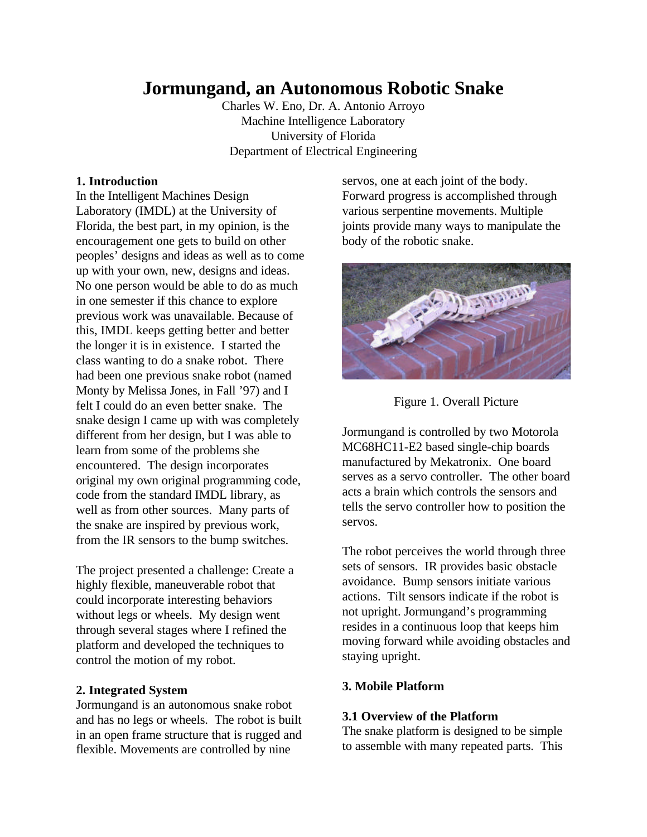# **Jormungand, an Autonomous Robotic Snake**

Charles W. Eno, Dr. A. Antonio Arroyo Machine Intelligence Laboratory University of Florida Department of Electrical Engineering

## **1. Introduction**

In the Intelligent Machines Design Laboratory (IMDL) at the University of Florida, the best part, in my opinion, is the encouragement one gets to build on other peoples' designs and ideas as well as to come up with your own, new, designs and ideas. No one person would be able to do as much in one semester if this chance to explore previous work was unavailable. Because of this, IMDL keeps getting better and better the longer it is in existence. I started the class wanting to do a snake robot. There had been one previous snake robot (named Monty by Melissa Jones, in Fall '97) and I felt I could do an even better snake. The snake design I came up with was completely different from her design, but I was able to learn from some of the problems she encountered. The design incorporates original my own original programming code, code from the standard IMDL library, as well as from other sources. Many parts of the snake are inspired by previous work, from the IR sensors to the bump switches.

The project presented a challenge: Create a highly flexible, maneuverable robot that could incorporate interesting behaviors without legs or wheels. My design went through several stages where I refined the platform and developed the techniques to control the motion of my robot.

#### **2. Integrated System**

Jormungand is an autonomous snake robot and has no legs or wheels. The robot is built in an open frame structure that is rugged and flexible. Movements are controlled by nine

servos, one at each joint of the body. Forward progress is accomplished through various serpentine movements. Multiple joints provide many ways to manipulate the body of the robotic snake.





Jormungand is controlled by two Motorola MC68HC11-E2 based single-chip boards manufactured by Mekatronix. One board serves as a servo controller. The other board acts a brain which controls the sensors and tells the servo controller how to position the servos.

The robot perceives the world through three sets of sensors. IR provides basic obstacle avoidance. Bump sensors initiate various actions. Tilt sensors indicate if the robot is not upright. Jormungand's programming resides in a continuous loop that keeps him moving forward while avoiding obstacles and staying upright.

# **3. Mobile Platform**

## **3.1 Overview of the Platform**

The snake platform is designed to be simple to assemble with many repeated parts. This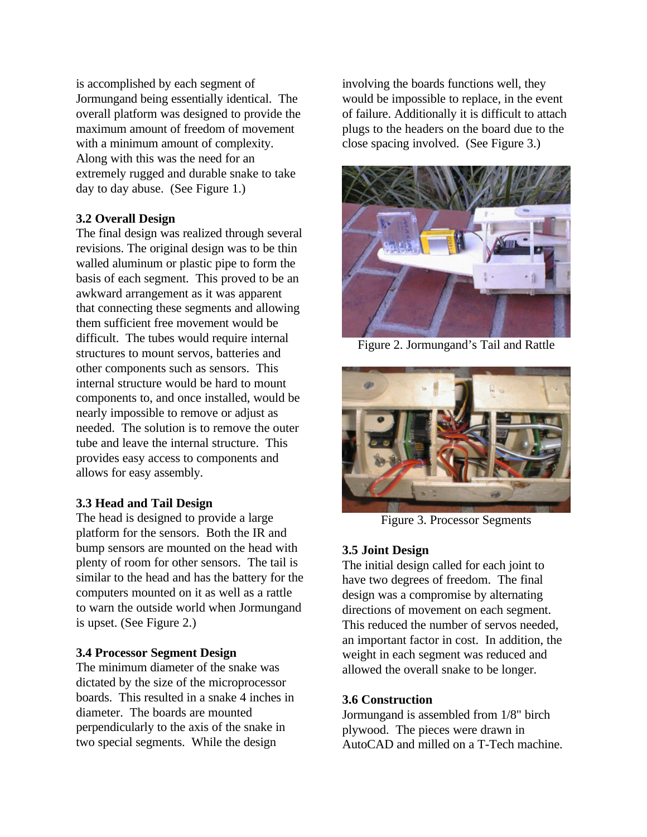is accomplished by each segment of Jormungand being essentially identical. The overall platform was designed to provide the maximum amount of freedom of movement with a minimum amount of complexity. Along with this was the need for an extremely rugged and durable snake to take day to day abuse. (See Figure 1.)

# **3.2 Overall Design**

The final design was realized through several revisions. The original design was to be thin walled aluminum or plastic pipe to form the basis of each segment. This proved to be an awkward arrangement as it was apparent that connecting these segments and allowing them sufficient free movement would be difficult. The tubes would require internal structures to mount servos, batteries and other components such as sensors. This internal structure would be hard to mount components to, and once installed, would be nearly impossible to remove or adjust as needed. The solution is to remove the outer tube and leave the internal structure. This provides easy access to components and allows for easy assembly.

## **3.3 Head and Tail Design**

The head is designed to provide a large platform for the sensors. Both the IR and bump sensors are mounted on the head with plenty of room for other sensors. The tail is similar to the head and has the battery for the computers mounted on it as well as a rattle to warn the outside world when Jormungand is upset. (See Figure 2.)

## **3.4 Processor Segment Design**

The minimum diameter of the snake was dictated by the size of the microprocessor boards. This resulted in a snake 4 inches in diameter. The boards are mounted perpendicularly to the axis of the snake in two special segments. While the design

involving the boards functions well, they would be impossible to replace, in the event of failure. Additionally it is difficult to attach plugs to the headers on the board due to the close spacing involved. (See Figure 3.)



Figure 2. Jormungand's Tail and Rattle



Figure 3. Processor Segments

# **3.5 Joint Design**

The initial design called for each joint to have two degrees of freedom. The final design was a compromise by alternating directions of movement on each segment. This reduced the number of servos needed, an important factor in cost. In addition, the weight in each segment was reduced and allowed the overall snake to be longer.

## **3.6 Construction**

Jormungand is assembled from 1/8" birch plywood. The pieces were drawn in AutoCAD and milled on a T-Tech machine.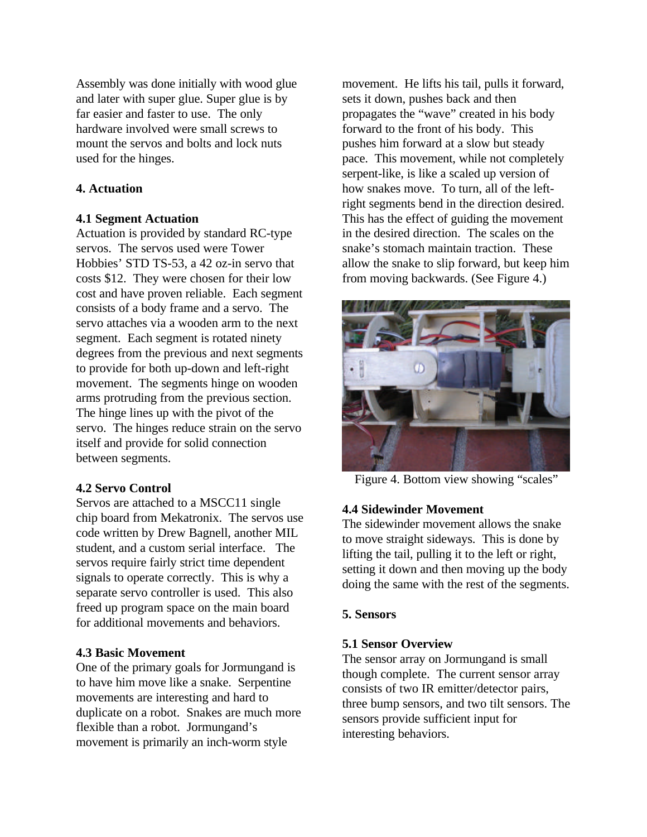Assembly was done initially with wood glue and later with super glue. Super glue is by far easier and faster to use. The only hardware involved were small screws to mount the servos and bolts and lock nuts used for the hinges.

## **4. Actuation**

#### **4.1 Segment Actuation**

Actuation is provided by standard RC-type servos. The servos used were Tower Hobbies' STD TS-53, a 42 oz-in servo that costs \$12. They were chosen for their low cost and have proven reliable. Each segment consists of a body frame and a servo. The servo attaches via a wooden arm to the next segment. Each segment is rotated ninety degrees from the previous and next segments to provide for both up-down and left-right movement. The segments hinge on wooden arms protruding from the previous section. The hinge lines up with the pivot of the servo. The hinges reduce strain on the servo itself and provide for solid connection between segments.

## **4.2 Servo Control**

Servos are attached to a MSCC11 single chip board from Mekatronix. The servos use code written by Drew Bagnell, another MIL student, and a custom serial interface. The servos require fairly strict time dependent signals to operate correctly. This is why a separate servo controller is used. This also freed up program space on the main board for additional movements and behaviors.

## **4.3 Basic Movement**

One of the primary goals for Jormungand is to have him move like a snake. Serpentine movements are interesting and hard to duplicate on a robot. Snakes are much more flexible than a robot. Jormungand's movement is primarily an inch-worm style

movement. He lifts his tail, pulls it forward, sets it down, pushes back and then propagates the "wave" created in his body forward to the front of his body. This pushes him forward at a slow but steady pace. This movement, while not completely serpent-like, is like a scaled up version of how snakes move. To turn, all of the leftright segments bend in the direction desired. This has the effect of guiding the movement in the desired direction. The scales on the snake's stomach maintain traction. These allow the snake to slip forward, but keep him from moving backwards. (See Figure 4.)



Figure 4. Bottom view showing "scales"

## **4.4 Sidewinder Movement**

The sidewinder movement allows the snake to move straight sideways. This is done by lifting the tail, pulling it to the left or right, setting it down and then moving up the body doing the same with the rest of the segments.

#### **5. Sensors**

#### **5.1 Sensor Overview**

The sensor array on Jormungand is small though complete. The current sensor array consists of two IR emitter/detector pairs, three bump sensors, and two tilt sensors. The sensors provide sufficient input for interesting behaviors.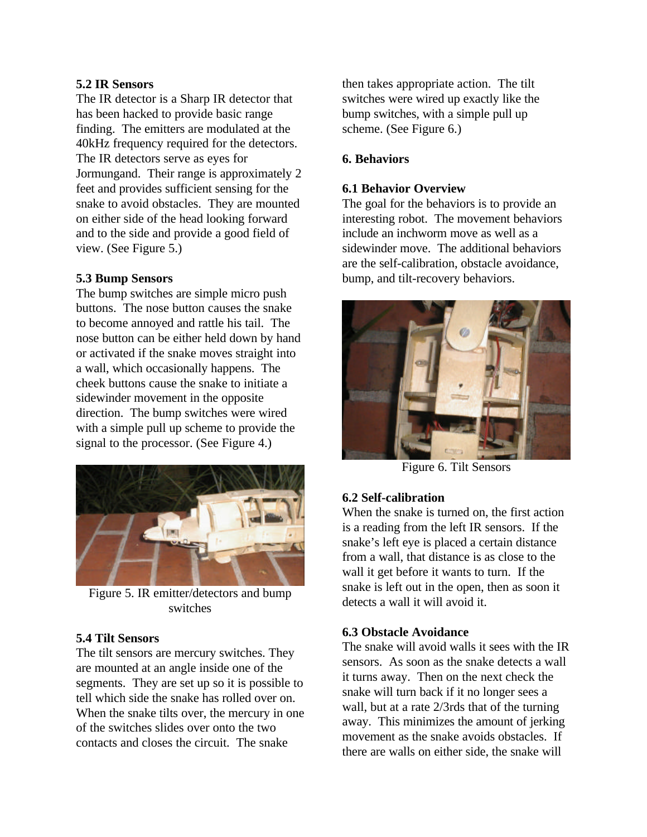# **5.2 IR Sensors**

The IR detector is a Sharp IR detector that has been hacked to provide basic range finding. The emitters are modulated at the 40kHz frequency required for the detectors. The IR detectors serve as eyes for Jormungand. Their range is approximately 2 feet and provides sufficient sensing for the snake to avoid obstacles. They are mounted on either side of the head looking forward and to the side and provide a good field of view. (See Figure 5.)

# **5.3 Bump Sensors**

The bump switches are simple micro push buttons. The nose button causes the snake to become annoyed and rattle his tail. The nose button can be either held down by hand or activated if the snake moves straight into a wall, which occasionally happens. The cheek buttons cause the snake to initiate a sidewinder movement in the opposite direction. The bump switches were wired with a simple pull up scheme to provide the signal to the processor. (See Figure 4.)



Figure 5. IR emitter/detectors and bump switches

## **5.4 Tilt Sensors**

The tilt sensors are mercury switches. They are mounted at an angle inside one of the segments. They are set up so it is possible to tell which side the snake has rolled over on. When the snake tilts over, the mercury in one of the switches slides over onto the two contacts and closes the circuit. The snake

then takes appropriate action. The tilt switches were wired up exactly like the bump switches, with a simple pull up scheme. (See Figure 6.)

# **6. Behaviors**

## **6.1 Behavior Overview**

The goal for the behaviors is to provide an interesting robot. The movement behaviors include an inchworm move as well as a sidewinder move. The additional behaviors are the self-calibration, obstacle avoidance, bump, and tilt-recovery behaviors.



Figure 6. Tilt Sensors

## **6.2 Self-calibration**

When the snake is turned on, the first action is a reading from the left IR sensors. If the snake's left eye is placed a certain distance from a wall, that distance is as close to the wall it get before it wants to turn. If the snake is left out in the open, then as soon it detects a wall it will avoid it.

## **6.3 Obstacle Avoidance**

The snake will avoid walls it sees with the IR sensors. As soon as the snake detects a wall it turns away. Then on the next check the snake will turn back if it no longer sees a wall, but at a rate 2/3rds that of the turning away. This minimizes the amount of jerking movement as the snake avoids obstacles. If there are walls on either side, the snake will